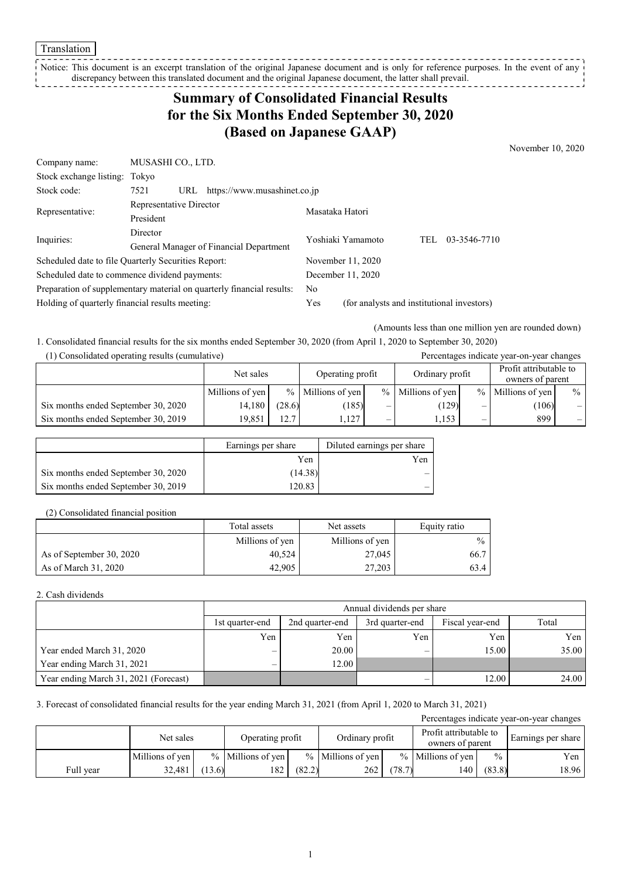Translation

Translation<br>
Notice: This document discrepancy between this translated document and the original Japanese document, the latter shall prevail. ' ----------------, **'** - - - - - - - - - - - - - - - - -Notice: This document is an excerpt translation of the original Japanese document and is only for reference purposes. In the event of any

# **Summary of Consolidated Financial Results for the Six Months Ended September 30, 2020 (Based on Japanese GAAP)**

November 10, 2020

| Company name:                                   | MUSASHI CO., LTD.                                                     |  |                 |                                            |     |              |  |
|-------------------------------------------------|-----------------------------------------------------------------------|--|-----------------|--------------------------------------------|-----|--------------|--|
| Stock exchange listing: Tokyo                   |                                                                       |  |                 |                                            |     |              |  |
| Stock code:                                     | 7521<br>https://www.musashinet.co.jp<br>URL                           |  |                 |                                            |     |              |  |
| Representative:                                 | Representative Director                                               |  | Masataka Hatori |                                            |     |              |  |
| President                                       |                                                                       |  |                 |                                            |     |              |  |
| Inquiries:                                      | Director                                                              |  |                 | Yoshiaki Yamamoto                          | TEL | 03-3546-7710 |  |
|                                                 | General Manager of Financial Department                               |  |                 |                                            |     |              |  |
|                                                 | Scheduled date to file Quarterly Securities Report:                   |  |                 | November 11, 2020                          |     |              |  |
|                                                 | Scheduled date to commence dividend payments:                         |  |                 | December 11, 2020                          |     |              |  |
|                                                 | Preparation of supplementary material on quarterly financial results: |  | No              |                                            |     |              |  |
| Holding of quarterly financial results meeting: |                                                                       |  | Yes             | (for analysts and institutional investors) |     |              |  |

(Amounts less than one million yen are rounded down)

1. Consolidated financial results for the six months ended September 30, 2020 (from April 1, 2020 to September 30, 2020)

| (1) Consolidated operating results (cumulative) |                 |                  |                     |                          |                     |                                            | Percentages indicate year-on-year changes |                                |
|-------------------------------------------------|-----------------|------------------|---------------------|--------------------------|---------------------|--------------------------------------------|-------------------------------------------|--------------------------------|
|                                                 | Net sales       | Operating profit |                     | Ordinary profit          |                     | Profit attributable to<br>owners of parent |                                           |                                |
|                                                 | Millions of yen |                  | $%$ Millions of yen |                          | $%$ Millions of yen |                                            | % Millions of yen                         | $\frac{0}{0}$                  |
| Six months ended September 30, 2020             | 14,180          | (28.6)           | (185)               | –                        | (129)               | $\overline{\phantom{0}}$                   | (106)                                     |                                |
| Six months ended September 30, 2019             | 19.851          | 12.7             | 1,127               | $\overline{\phantom{0}}$ | 1,153               | $\overline{\phantom{0}}$                   | 899                                       | $\qquad \qquad \longleftarrow$ |

|                                     | Earnings per share | Diluted earnings per share |  |
|-------------------------------------|--------------------|----------------------------|--|
|                                     | Yen.               | Yen.                       |  |
| Six months ended September 30, 2020 | (14.38)            | —                          |  |
| Six months ended September 30, 2019 | 20.83              | _                          |  |

(2) Consolidated financial position

|                          | Total assets    | Net assets      | Equity ratio  |
|--------------------------|-----------------|-----------------|---------------|
|                          | Millions of yen | Millions of yen | $\frac{0}{0}$ |
| As of September 30, 2020 | 40,524          | 27,045          | 66.7          |
| As of March 31, 2020     | 42.905          | 27,203          | 63.4          |

#### 2. Cash dividends

|                                       |                                 | Annual dividends per share                                     |     |       |       |  |  |  |  |
|---------------------------------------|---------------------------------|----------------------------------------------------------------|-----|-------|-------|--|--|--|--|
|                                       | 1st quarter-end                 | Total<br>2nd quarter-end<br>Fiscal year-end<br>3rd quarter-end |     |       |       |  |  |  |  |
|                                       | Yen                             | Yen                                                            | Yen | Yen   | Yen   |  |  |  |  |
| Year ended March 31, 2020             | –                               | 20.00                                                          | _   | 15.00 | 35.00 |  |  |  |  |
| Year ending March 31, 2021            | $\hspace{0.1mm}-\hspace{0.1mm}$ | 12.00                                                          |     |       |       |  |  |  |  |
| Year ending March 31, 2021 (Forecast) |                                 |                                                                |     | 12.00 | 24.00 |  |  |  |  |

3. Forecast of consolidated financial results for the year ending March 31, 2021 (from April 1, 2020 to March 31, 2021)

| Percentages indicate year-on-year changes |                 |       |                     |        |                     |        |                                            |               |                    |
|-------------------------------------------|-----------------|-------|---------------------|--------|---------------------|--------|--------------------------------------------|---------------|--------------------|
|                                           | Net sales       |       | Operating profit    |        | Ordinary profit     |        | Profit attributable to<br>owners of parent |               | Earnings per share |
|                                           | Millions of yen |       | $%$ Millions of yen |        | $%$ Millions of yen |        | % Millions of yen                          | $\frac{0}{0}$ | Yen                |
| Full year                                 | 32,481          | 13.6) | 182                 | (82.2) | 262                 | (78.7) | 140                                        | (83.8)        | 18.96              |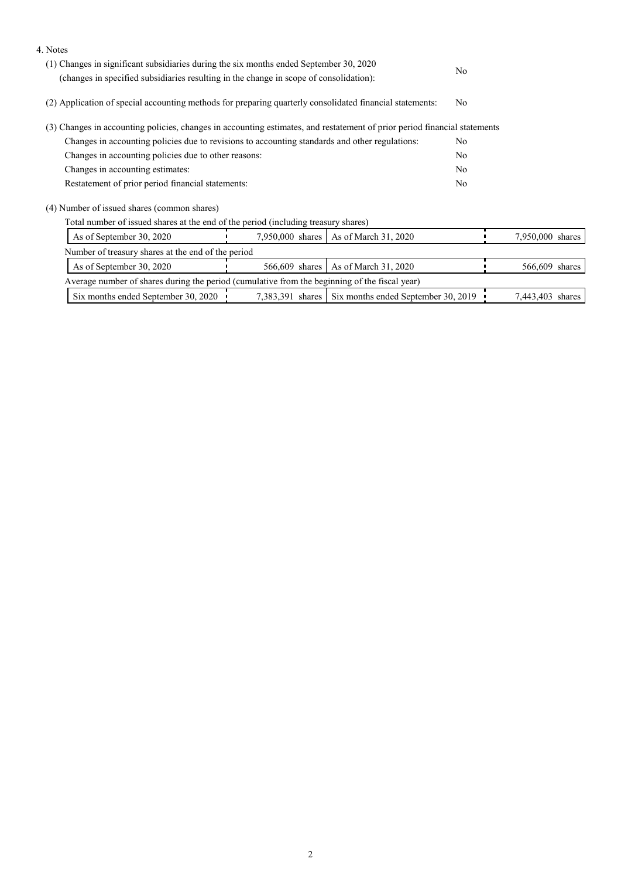| 4. Notes                                                                                                                                                                         |                  |                                                        |  |                  |  |
|----------------------------------------------------------------------------------------------------------------------------------------------------------------------------------|------------------|--------------------------------------------------------|--|------------------|--|
| (1) Changes in significant subsidiaries during the six months ended September 30, 2020<br>(changes in specified subsidiaries resulting in the change in scope of consolidation): | N <sub>o</sub>   |                                                        |  |                  |  |
| (2) Application of special accounting methods for preparing quarterly consolidated financial statements:                                                                         | N <sub>o</sub>   |                                                        |  |                  |  |
| (3) Changes in accounting policies, changes in accounting estimates, and restatement of prior period financial statements                                                        |                  |                                                        |  |                  |  |
| Changes in accounting policies due to revisions to accounting standards and other regulations:                                                                                   |                  |                                                        |  |                  |  |
| Changes in accounting policies due to other reasons:                                                                                                                             |                  |                                                        |  |                  |  |
| Changes in accounting estimates:                                                                                                                                                 |                  |                                                        |  |                  |  |
| Restatement of prior period financial statements:                                                                                                                                |                  |                                                        |  |                  |  |
| (4) Number of issued shares (common shares)                                                                                                                                      |                  |                                                        |  |                  |  |
| Total number of issued shares at the end of the period (including treasury shares)                                                                                               |                  |                                                        |  |                  |  |
| As of September 30, 2020                                                                                                                                                         | 7,950,000 shares | As of March 31, 2020                                   |  | 7,950,000 shares |  |
| Number of treasury shares at the end of the period                                                                                                                               |                  |                                                        |  |                  |  |
| As of September 30, 2020                                                                                                                                                         | 566,609 shares   | As of March 31, 2020                                   |  | 566,609 shares   |  |
| Average number of shares during the period (cumulative from the beginning of the fiscal year)                                                                                    |                  |                                                        |  |                  |  |
| Six months ended September 30, 2020                                                                                                                                              |                  | 7,383,391 shares   Six months ended September 30, 2019 |  | 7,443,403 shares |  |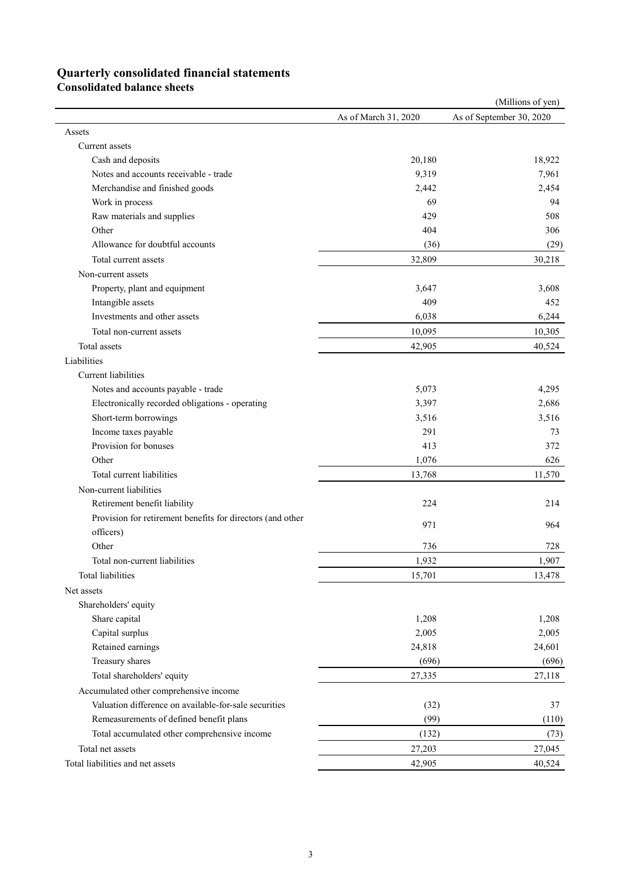## **Quarterly consolidated financial statements**

**Consolidated balance sheets**

|                                                            |                      | (Millions of yen)        |
|------------------------------------------------------------|----------------------|--------------------------|
|                                                            | As of March 31, 2020 | As of September 30, 2020 |
| Assets                                                     |                      |                          |
| Current assets                                             |                      |                          |
| Cash and deposits                                          | 20,180               | 18,922                   |
| Notes and accounts receivable - trade                      | 9,319                | 7,961                    |
| Merchandise and finished goods                             | 2,442                | 2,454                    |
| Work in process                                            | 69                   | 94                       |
| Raw materials and supplies                                 | 429                  | 508                      |
| Other                                                      | 404                  | 306                      |
| Allowance for doubtful accounts                            | (36)                 | (29)                     |
| Total current assets                                       | 32,809               | 30,218                   |
| Non-current assets                                         |                      |                          |
| Property, plant and equipment                              | 3,647                | 3,608                    |
| Intangible assets                                          | 409                  | 452                      |
| Investments and other assets                               | 6,038                | 6,244                    |
| Total non-current assets                                   | 10,095               | 10,305                   |
| Total assets                                               | 42,905               | 40,524                   |
| Liabilities                                                |                      |                          |
| <b>Current liabilities</b>                                 |                      |                          |
| Notes and accounts payable - trade                         | 5,073                | 4,295                    |
| Electronically recorded obligations - operating            | 3,397                | 2,686                    |
| Short-term borrowings                                      | 3,516                | 3,516                    |
| Income taxes payable                                       | 291                  | 73                       |
| Provision for bonuses                                      | 413                  | 372                      |
| Other                                                      | 1,076                | 626                      |
| Total current liabilities                                  | 13,768               | 11,570                   |
| Non-current liabilities                                    |                      |                          |
| Retirement benefit liability                               | 224                  | 214                      |
| Provision for retirement benefits for directors (and other |                      |                          |
| officers)                                                  | 971                  | 964                      |
| Other                                                      | 736                  | 728                      |
| Total non-current liabilities                              | 1,932                | 1,907                    |
| <b>Total liabilities</b>                                   | 15,701               | 13,478                   |
| Net assets                                                 |                      |                          |
| Shareholders' equity                                       |                      |                          |
| Share capital                                              | 1,208                | 1,208                    |
| Capital surplus                                            | 2,005                | 2,005                    |
| Retained earnings                                          | 24,818               | 24,601                   |
| Treasury shares                                            | (696)                | (696)                    |
| Total shareholders' equity                                 | 27,335               | 27,118                   |
| Accumulated other comprehensive income                     |                      |                          |
| Valuation difference on available-for-sale securities      | (32)                 | 37                       |
| Remeasurements of defined benefit plans                    | (99)                 | (110)                    |
| Total accumulated other comprehensive income               | (132)                | (73)                     |
| Total net assets                                           | 27,203               | 27,045                   |
| Total liabilities and net assets                           | 42,905               | 40,524                   |
|                                                            |                      |                          |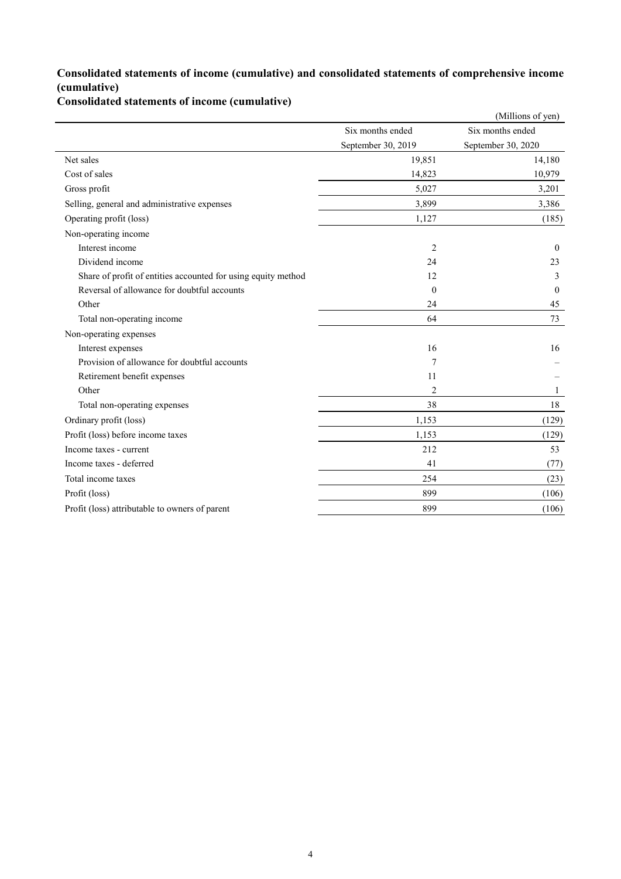## **Consolidated statements of income (cumulative) and consolidated statements of comprehensive income (cumulative)**

#### **Consolidated statements of income (cumulative)**

|                                                               |                    | (Millions of yen)  |
|---------------------------------------------------------------|--------------------|--------------------|
|                                                               | Six months ended   | Six months ended   |
|                                                               | September 30, 2019 | September 30, 2020 |
| Net sales                                                     | 19,851             | 14,180             |
| Cost of sales                                                 | 14,823             | 10,979             |
| Gross profit                                                  | 5,027              | 3,201              |
| Selling, general and administrative expenses                  | 3,899              | 3,386              |
| Operating profit (loss)                                       | 1,127              | (185)              |
| Non-operating income                                          |                    |                    |
| Interest income                                               | $\overline{2}$     | $\theta$           |
| Dividend income                                               | 24                 | 23                 |
| Share of profit of entities accounted for using equity method | 12                 | 3                  |
| Reversal of allowance for doubtful accounts                   | $\theta$           | $\mathbf{0}$       |
| Other                                                         | 24                 | 45                 |
| Total non-operating income                                    | 64                 | 73                 |
| Non-operating expenses                                        |                    |                    |
| Interest expenses                                             | 16                 | 16                 |
| Provision of allowance for doubtful accounts                  | 7                  |                    |
| Retirement benefit expenses                                   | 11                 |                    |
| Other                                                         | 2                  | 1                  |
| Total non-operating expenses                                  | 38                 | 18                 |
| Ordinary profit (loss)                                        | 1,153              | (129)              |
| Profit (loss) before income taxes                             | 1,153              | (129)              |
| Income taxes - current                                        | 212                | 53                 |
| Income taxes - deferred                                       | 41                 | (77)               |
| Total income taxes                                            | 254                | (23)               |
| Profit (loss)                                                 | 899                | (106)              |
| Profit (loss) attributable to owners of parent                | 899                | (106)              |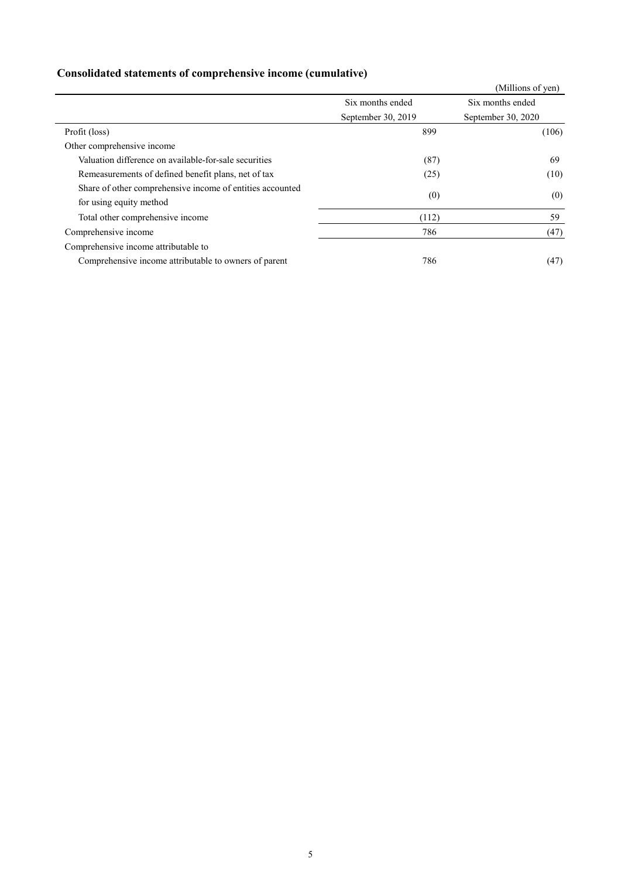## **Consolidated statements of comprehensive income (cumulative)**

|                                                           |                    | (Millions of yen)  |
|-----------------------------------------------------------|--------------------|--------------------|
|                                                           | Six months ended   | Six months ended   |
|                                                           | September 30, 2019 | September 30, 2020 |
| Profit (loss)                                             | 899                | (106)              |
| Other comprehensive income                                |                    |                    |
| Valuation difference on available-for-sale securities     | (87)               | 69                 |
| Remeasurements of defined benefit plans, net of tax       | (25)               | (10)               |
| Share of other comprehensive income of entities accounted | (0)                | (0)                |
| for using equity method                                   |                    |                    |
| Total other comprehensive income                          | (112)              | 59                 |
| Comprehensive income                                      | 786                | (47)               |
| Comprehensive income attributable to                      |                    |                    |
| Comprehensive income attributable to owners of parent     | 786                | (47)               |